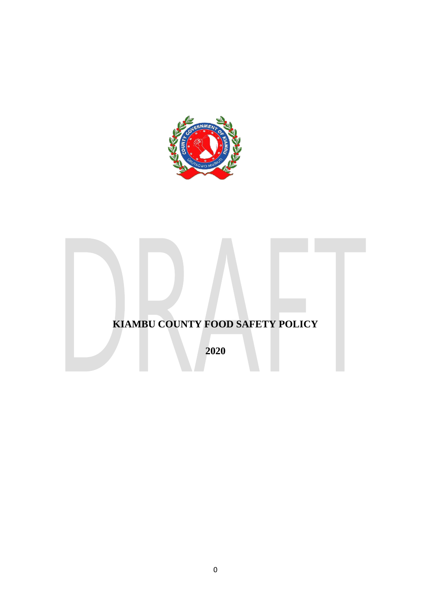

# **KIAMBU COUNTY FOOD SAFETY POLICY**

**2020**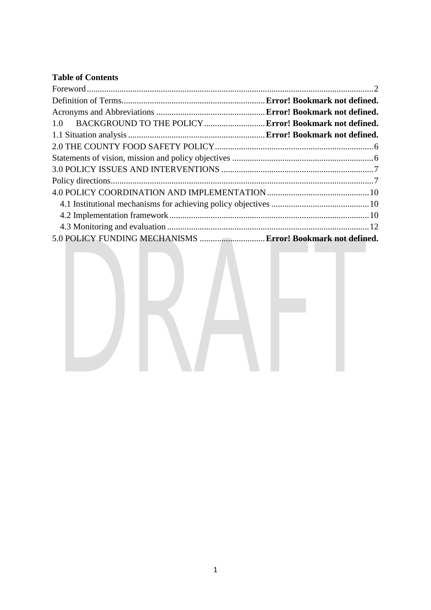# **Table of Contents**

| 1.0 BACKGROUND TO THE POLICY  Error! Bookmark not defined.  |  |
|-------------------------------------------------------------|--|
|                                                             |  |
|                                                             |  |
|                                                             |  |
|                                                             |  |
|                                                             |  |
|                                                             |  |
|                                                             |  |
|                                                             |  |
|                                                             |  |
| 5.0 POLICY FUNDING MECHANISMS  Error! Bookmark not defined. |  |

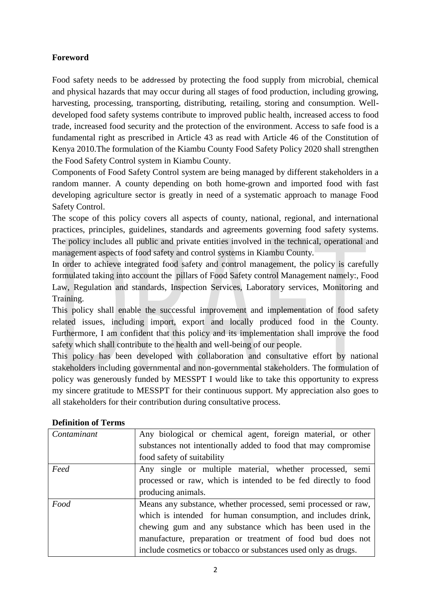# <span id="page-2-0"></span>**Foreword**

Food safety needs to be addressed by protecting the food supply from microbial, chemical and physical hazards that may occur during all stages of food production, including growing, harvesting, processing, transporting, distributing, retailing, storing and consumption. Welldeveloped food safety systems contribute to improved public health, increased access to food trade, increased food security and the protection of the environment. Access to safe food is a fundamental right as prescribed in Article 43 as read with Article 46 of the Constitution of Kenya 2010.The formulation of the Kiambu County Food Safety Policy 2020 shall strengthen the Food Safety Control system in Kiambu County.

Components of Food Safety Control system are being managed by different stakeholders in a random manner. A county depending on both home-grown and imported food with fast developing agriculture sector is greatly in need of a systematic approach to manage Food Safety Control.

The scope of this policy covers all aspects of county, national, regional, and international practices, principles, guidelines, standards and agreements governing food safety systems. The policy includes all public and private entities involved in the technical, operational and management aspects of food safety and control systems in Kiambu County.

In order to achieve integrated food safety and control management, the policy is carefully formulated taking into account the pillars of Food Safety control Management namely:, Food Law, Regulation and standards, Inspection Services, Laboratory services, Monitoring and Training.

This policy shall enable the successful improvement and implementation of food safety related issues, including import, export and locally produced food in the County. Furthermore, I am confident that this policy and its implementation shall improve the food safety which shall contribute to the health and well-being of our people.

This policy has been developed with collaboration and consultative effort by national stakeholders including governmental and non-governmental stakeholders. The formulation of policy was generously funded by MESSPT I would like to take this opportunity to express my sincere gratitude to MESSPT for their continuous support. My appreciation also goes to all stakeholders for their contribution during consultative process.

| Contaminant | Any biological or chemical agent, foreign material, or other   |
|-------------|----------------------------------------------------------------|
|             | substances not intentionally added to food that may compromise |
|             | food safety of suitability                                     |
| Feed        | Any single or multiple material, whether processed, semi       |
|             | processed or raw, which is intended to be fed directly to food |
|             | producing animals.                                             |
| Food        | Means any substance, whether processed, semi processed or raw, |
|             | which is intended for human consumption, and includes drink,   |
|             | chewing gum and any substance which has been used in the       |
|             | manufacture, preparation or treatment of food bud does not     |
|             | include cosmetics or tobacco or substances used only as drugs. |

# **Definition of Terms**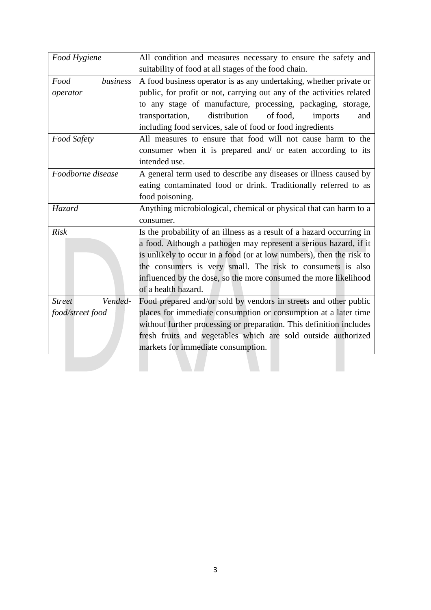| Food Hygiene             | All condition and measures necessary to ensure the safety and         |
|--------------------------|-----------------------------------------------------------------------|
|                          | suitability of food at all stages of the food chain.                  |
| business<br>Food         | A food business operator is as any undertaking, whether private or    |
| operator                 | public, for profit or not, carrying out any of the activities related |
|                          | to any stage of manufacture, processing, packaging, storage,          |
|                          | distribution<br>of food.<br>transportation,<br>imports<br>and         |
|                          | including food services, sale of food or food ingredients             |
| <b>Food Safety</b>       | All measures to ensure that food will not cause harm to the           |
|                          | consumer when it is prepared and/ or eaten according to its           |
|                          | intended use.                                                         |
| Foodborne disease        | A general term used to describe any diseases or illness caused by     |
|                          | eating contaminated food or drink. Traditionally referred to as       |
|                          | food poisoning.                                                       |
| <b>Hazard</b>            | Anything microbiological, chemical or physical that can harm to a     |
|                          | consumer.                                                             |
| <b>Risk</b>              | Is the probability of an illness as a result of a hazard occurring in |
|                          | a food. Although a pathogen may represent a serious hazard, if it     |
|                          | is unlikely to occur in a food (or at low numbers), then the risk to  |
|                          | the consumers is very small. The risk to consumers is also            |
|                          | influenced by the dose, so the more consumed the more likelihood      |
|                          | of a health hazard.                                                   |
| Vended-<br><b>Street</b> | Food prepared and/or sold by vendors in streets and other public      |
| food/street food         | places for immediate consumption or consumption at a later time       |
|                          | without further processing or preparation. This definition includes   |
|                          | fresh fruits and vegetables which are sold outside authorized         |
|                          | markets for immediate consumption.                                    |
|                          |                                                                       |
|                          |                                                                       |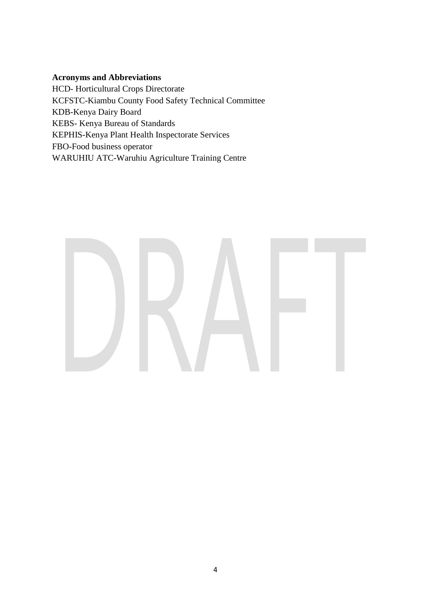# **Acronyms and Abbreviations**

HCD- Horticultural Crops Directorate KCFSTC-Kiambu County Food Safety Technical Committee KDB-Kenya Dairy Board KEBS- Kenya Bureau of Standards KEPHIS-Kenya Plant Health Inspectorate Services FBO-Food business operator WARUHIU ATC-Waruhiu Agriculture Training Centre

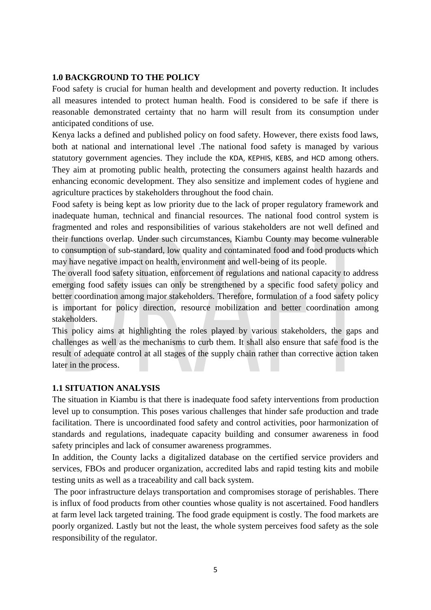#### **1.0 BACKGROUND TO THE POLICY**

Food safety is crucial for human health and development and poverty reduction. It includes all measures intended to protect human health. Food is considered to be safe if there is reasonable demonstrated certainty that no harm will result from its consumption under anticipated conditions of use.

Kenya lacks a defined and published policy on food safety. However, there exists food laws, both at national and international level .The national food safety is managed by various statutory government agencies. They include the KDA, KEPHIS, KEBS, and HCD among others. They aim at promoting public health, protecting the consumers against health hazards and enhancing economic development. They also sensitize and implement codes of hygiene and agriculture practices by stakeholders throughout the food chain.

Food safety is being kept as low priority due to the lack of proper regulatory framework and inadequate human, technical and financial resources. The national food control system is fragmented and roles and responsibilities of various stakeholders are not well defined and their functions overlap. Under such circumstances, Kiambu County may become vulnerable to consumption of sub-standard, low quality and contaminated food and food products which may have negative impact on health, environment and well-being of its people.

The overall food safety situation, enforcement of regulations and national capacity to address emerging food safety issues can only be strengthened by a specific food safety policy and better coordination among major stakeholders. Therefore, formulation of a food safety policy is important for policy direction, resource mobilization and better coordination among stakeholders.

This policy aims at highlighting the roles played by various stakeholders, the gaps and challenges as well as the mechanisms to curb them. It shall also ensure that safe food is the result of adequate control at all stages of the supply chain rather than corrective action taken later in the process.

#### **1.1 SITUATION ANALYSIS**

The situation in Kiambu is that there is inadequate food safety interventions from production level up to consumption. This poses various challenges that hinder safe production and trade facilitation. There is uncoordinated food safety and control activities, poor harmonization of standards and regulations, inadequate capacity building and consumer awareness in food safety principles and lack of consumer awareness programmes.

In addition, the County lacks a digitalized database on the certified service providers and services, FBOs and producer organization, accredited labs and rapid testing kits and mobile testing units as well as a traceability and call back system.

The poor infrastructure delays transportation and compromises storage of perishables. There is influx of food products from other counties whose quality is not ascertained. Food handlers at farm level lack targeted training. The food grade equipment is costly. The food markets are poorly organized. Lastly but not the least, the whole system perceives food safety as the sole responsibility of the regulator.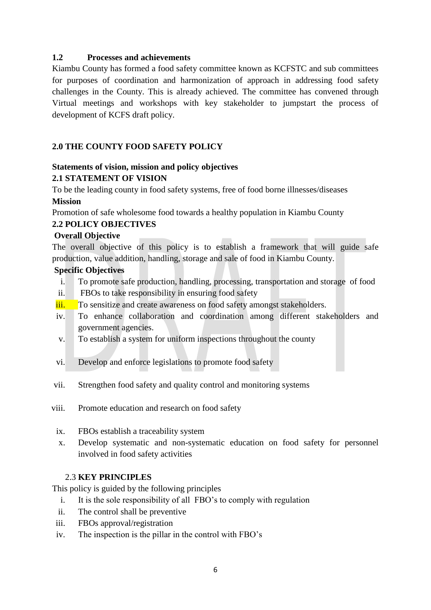#### **1.2 Processes and achievements**

Kiambu County has formed a food safety committee known as KCFSTC and sub committees for purposes of coordination and harmonization of approach in addressing food safety challenges in the County. This is already achieved. The committee has convened through Virtual meetings and workshops with key stakeholder to jumpstart the process of development of KCFS draft policy.

### <span id="page-6-0"></span>**2.0 THE COUNTY FOOD SAFETY POLICY**

#### <span id="page-6-1"></span>**Statements of vision, mission and policy objectives 2.1 STATEMENT OF VISION**

To be the leading county in food safety systems, free of food borne illnesses/diseases **Mission** 

Promotion of safe wholesome food towards a healthy population in Kiambu County

#### **2.2 POLICY OBJECTIVES**

#### **Overall Objective**

The overall objective of this policy is to establish a framework that will guide safe production, value addition, handling, storage and sale of food in Kiambu County.

#### **Specific Objectives**

- i. To promote safe production, handling, processing, transportation and storage of food
- ii. FBOs to take responsibility in ensuring food safety
- iii. To sensitize and create awareness on food safety amongst stakeholders.
- iv. To enhance collaboration and coordination among different stakeholders and government agencies.
- v. To establish a system for uniform inspections throughout the county
- vi. Develop and enforce legislations to promote food safety
- vii. Strengthen food safety and quality control and monitoring systems
- viii. Promote education and research on food safety
- ix. FBOs establish a traceability system
- x. Develop systematic and non-systematic education on food safety for personnel involved in food safety activities

#### 2.3 **KEY PRINCIPLES**

This policy is guided by the following principles

- i. It is the sole responsibility of all FBO's to comply with regulation
- ii. The control shall be preventive
- iii. FBOs approval/registration
- iv. The inspection is the pillar in the control with FBO's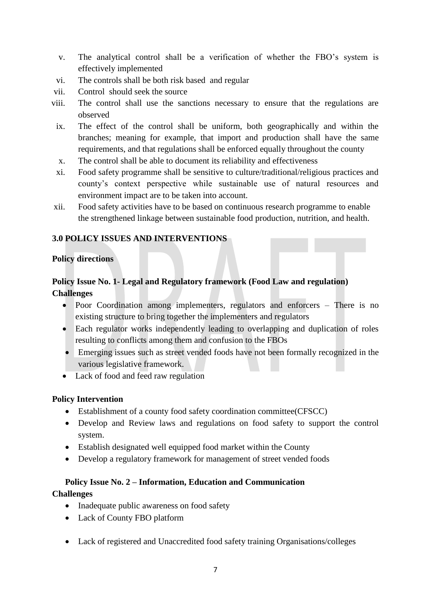- v. The analytical control shall be a verification of whether the FBO's system is effectively implemented
- vi. The controls shall be both risk based and regular
- vii. Control should seek the source
- viii. The control shall use the sanctions necessary to ensure that the regulations are observed
- ix. The effect of the control shall be uniform, both geographically and within the branches; meaning for example, that import and production shall have the same requirements, and that regulations shall be enforced equally throughout the county
- x. The control shall be able to document its reliability and effectiveness
- xi. Food safety programme shall be sensitive to culture/traditional/religious practices and county's context perspective while sustainable use of natural resources and environment impact are to be taken into account.
- xii. Food safety activities have to be based on continuous research programme to enable the strengthened linkage between sustainable food production, nutrition, and health.

#### <span id="page-7-0"></span>**3.0 POLICY ISSUES AND INTERVENTIONS**

#### <span id="page-7-1"></span>**Policy directions**

# **Policy Issue No. 1- Legal and Regulatory framework (Food Law and regulation) Challenges**

- Poor Coordination among implementers, regulators and enforcers There is no existing structure to bring together the implementers and regulators
- Each regulator works independently leading to overlapping and duplication of roles resulting to conflicts among them and confusion to the FBOs
- Emerging issues such as street vended foods have not been formally recognized in the various legislative framework.
- Lack of food and feed raw regulation

#### **Policy Intervention**

- Establishment of a county food safety coordination committee(CFSCC)
- Develop and Review laws and regulations on food safety to support the control system.
- Establish designated well equipped food market within the County
- Develop a regulatory framework for management of street vended foods

# **Policy Issue No. 2 – Information, Education and Communication**

#### **Challenges**

- Inadequate public awareness on food safety
- Lack of County FBO platform
- Lack of registered and Unaccredited food safety training Organisations/colleges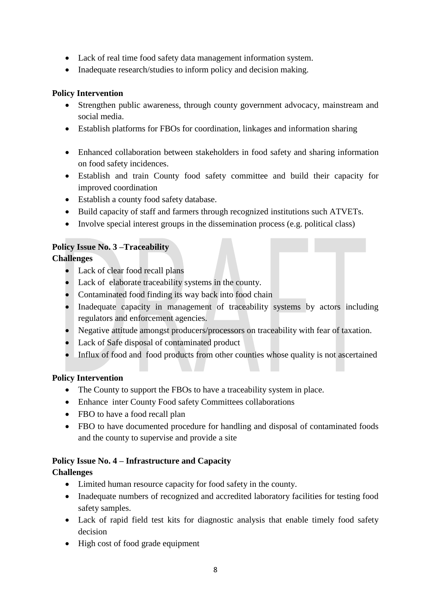- Lack of real time food safety data management information system.
- Inadequate research/studies to inform policy and decision making.

### **Policy Intervention**

- Strengthen public awareness, through county government advocacy, mainstream and social media.
- Establish platforms for FBOs for coordination, linkages and information sharing
- Enhanced collaboration between stakeholders in food safety and sharing information on food safety incidences.
- Establish and train County food safety committee and build their capacity for improved coordination
- Establish a county food safety database.
- Build capacity of staff and farmers through recognized institutions such ATVETs.
- Involve special interest groups in the dissemination process (e.g. political class)

# **Policy Issue No. 3 –Traceability**

# **Challenges**

- Lack of clear food recall plans
- Lack of elaborate traceability systems in the county.
- Contaminated food finding its way back into food chain
- Inadequate capacity in management of traceability systems by actors including regulators and enforcement agencies.
- Negative attitude amongst producers/processors on traceability with fear of taxation.
- Lack of Safe disposal of contaminated product
- Influx of food and food products from other counties whose quality is not ascertained

#### **Policy Intervention**

- The County to support the FBOs to have a traceability system in place.
- Enhance inter County Food safety Committees collaborations
- FBO to have a food recall plan
- FBO to have documented procedure for handling and disposal of contaminated foods and the county to supervise and provide a site

#### **Policy Issue No. 4 – Infrastructure and Capacity**

# **Challenges**

- Limited human resource capacity for food safety in the county.
- Inadequate numbers of recognized and accredited laboratory facilities for testing food safety samples.
- Lack of rapid field test kits for diagnostic analysis that enable timely food safety decision
- High cost of food grade equipment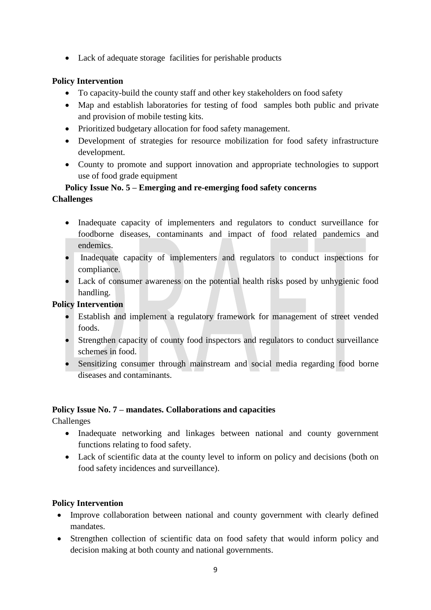Lack of adequate storage facilities for perishable products

# **Policy Intervention**

- To capacity-build the county staff and other key stakeholders on food safety
- Map and establish laboratories for testing of food samples both public and private and provision of mobile testing kits.
- Prioritized budgetary allocation for food safety management.
- Development of strategies for resource mobilization for food safety infrastructure development.
- County to promote and support innovation and appropriate technologies to support use of food grade equipment

### **Policy Issue No. 5 – Emerging and re-emerging food safety concerns Challenges**

- Inadequate capacity of implementers and regulators to conduct surveillance for foodborne diseases, contaminants and impact of food related pandemics and endemics.
- Inadequate capacity of implementers and regulators to conduct inspections for compliance.
- Lack of consumer awareness on the potential health risks posed by unhygienic food handling.

### **Policy Intervention**

- Establish and implement a regulatory framework for management of street vended foods.
- Strengthen capacity of county food inspectors and regulators to conduct surveillance schemes in food.
- Sensitizing consumer through mainstream and social media regarding food borne diseases and contaminants.

# **Policy Issue No. 7 – mandates. Collaborations and capacities**

Challenges

- Inadequate networking and linkages between national and county government functions relating to food safety.
- Lack of scientific data at the county level to inform on policy and decisions (both on food safety incidences and surveillance).

#### **Policy Intervention**

- Improve collaboration between national and county government with clearly defined mandates.
- Strengthen collection of scientific data on food safety that would inform policy and decision making at both county and national governments.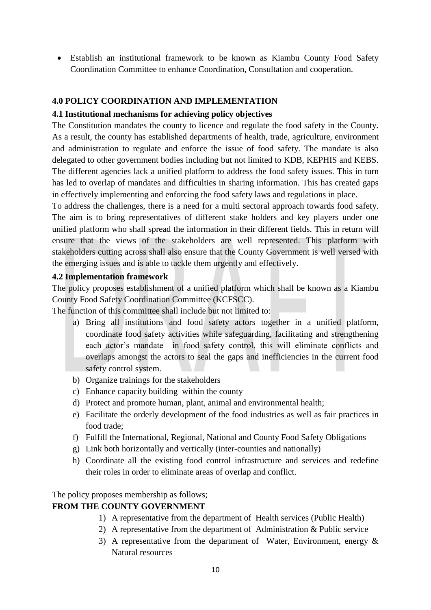Establish an institutional framework to be known as Kiambu County Food Safety Coordination Committee to enhance Coordination, Consultation and cooperation.

#### <span id="page-10-0"></span>**4.0 POLICY COORDINATION AND IMPLEMENTATION**

#### <span id="page-10-1"></span>**4.1 Institutional mechanisms for achieving policy objectives**

The Constitution mandates the county to licence and regulate the food safety in the County. As a result, the county has established departments of health, trade, agriculture, environment and administration to regulate and enforce the issue of food safety. The mandate is also delegated to other government bodies including but not limited to KDB, KEPHIS and KEBS. The different agencies lack a unified platform to address the food safety issues. This in turn has led to overlap of mandates and difficulties in sharing information. This has created gaps in effectively implementing and enforcing the food safety laws and regulations in place.

To address the challenges, there is a need for a multi sectoral approach towards food safety. The aim is to bring representatives of different stake holders and key players under one unified platform who shall spread the information in their different fields. This in return will ensure that the views of the stakeholders are well represented. This platform with stakeholders cutting across shall also ensure that the County Government is well versed with the emerging issues and is able to tackle them urgently and effectively.

#### <span id="page-10-2"></span>**4.2 Implementation framework**

The policy proposes establishment of a unified platform which shall be known as a Kiambu County Food Safety Coordination Committee (KCFSCC).

The function of this committee shall include but not limited to:

- a) Bring all institutions and food safety actors together in a unified platform, coordinate food safety activities while safeguarding, facilitating and strengthening each actor's mandate in food safety control, this will eliminate conflicts and overlaps amongst the actors to seal the gaps and inefficiencies in the current food safety control system.
- b) Organize trainings for the stakeholders
- c) Enhance capacity building within the county
- d) Protect and promote human, plant, animal and environmental health;
- e) Facilitate the orderly development of the food industries as well as fair practices in food trade;
- f) Fulfill the International, Regional, National and County Food Safety Obligations
- g) Link both horizontally and vertically (inter-counties and nationally)
- h) Coordinate all the existing food control infrastructure and services and redefine their roles in order to eliminate areas of overlap and conflict.

The policy proposes membership as follows;

#### **FROM THE COUNTY GOVERNMENT**

- 1) A representative from the department of Health services (Public Health)
- 2) A representative from the department of Administration & Public service
- 3) A representative from the department of Water, Environment, energy  $\&$ Natural resources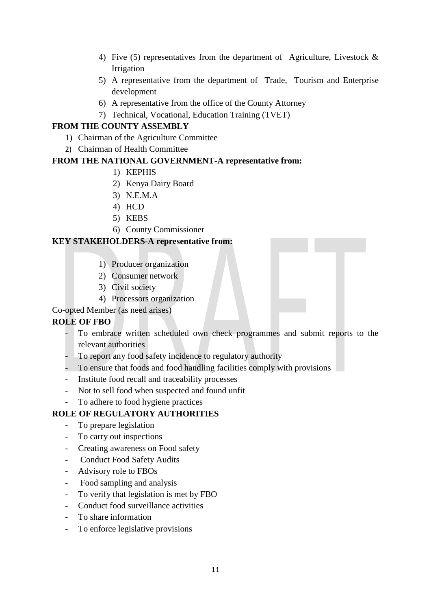- 4) Five (5) representatives from the department of Agriculture, Livestock & Irrigation
- 5) A representative from the department of Trade, Tourism and Enterprise development
- 6) A representative from the office of the County Attorney
- 7) Technical, Vocational, Education Training (TVET)

# **FROM THE COUNTY ASSEMBLY**

- 1) Chairman of the Agriculture Committee
- 2) Chairman of Health Committee

# **FROM THE NATIONAL GOVERNMENT-A representative from:**

- 1) KEPHIS
- 2) Kenya Dairy Board
- 3) N.E.M.A
- 4) HCD
- 5) KEBS
- 6) County Commissioner

# **KEY STAKEHOLDERS-A representative from:**

- 1) Producer organization
- 2) Consumer network
- 3) Civil society
- 4) Processors organization

Co-opted Member (as need arises)

#### **ROLE OF FBO**

- To embrace written scheduled own check programmes and submit reports to the relevant authorities
- To report any food safety incidence to regulatory authority
- To ensure that foods and food handling facilities comply with provisions
- Institute food recall and traceability processes
- Not to sell food when suspected and found unfit
- To adhere to food hygiene practices

# **ROLE OF REGULATORY AUTHORITIES**

- To prepare legislation
- To carry out inspections
- Creating awareness on Food safety
- Conduct Food Safety Audits
- Advisory role to FBOs
- Food sampling and analysis
- To verify that legislation is met by FBO
- Conduct food surveillance activities
- To share information
- To enforce legislative provisions